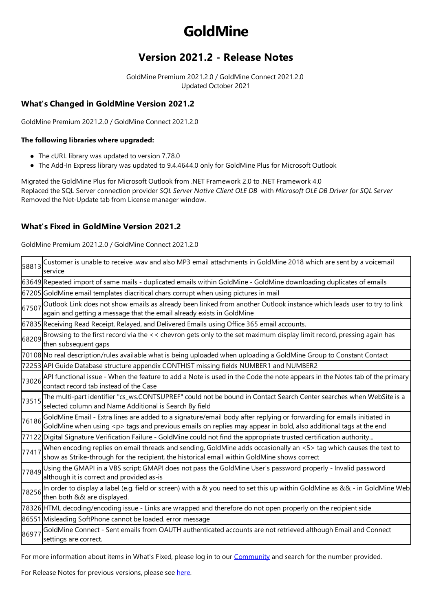# **GoldMine**

## **Version 2021.2 - Release Notes**

GoldMine Premium 2021.2.0 / GoldMine Connect 2021.2.0 Updated October 2021

### **What's Changed in GoldMine Version 2021.2**

GoldMine Premium 2021.2.0 / GoldMine Connect 2021.2.0

#### **The following libraries where upgraded:**

- The cURL library was updated to version 7.78.0
- The Add-In Express library was updated to 9.4.4644.0 only for GoldMine Plus for Microsoft Outlook

Migrated the GoldMine Plus for Microsoft Outlook from .NET Framework 2.0 to .NET Framework 4.0 Replaced theSQL Server connection provider *SQLServer Native Client OLE DB* with *Microsoft OLE DB Driver for SQLServer* Removed the Net-Update tab from License manager window.

#### **What'sFixed in GoldMine Version 2021.2**

GoldMine Premium 2021.2.0 / GoldMine Connect 2021.2.0

| 58813 | Customer is unable to receive .wav and also MP3 email attachments in GoldMine 2018 which are sent by a voicemail<br>service                                                                                                                  |
|-------|----------------------------------------------------------------------------------------------------------------------------------------------------------------------------------------------------------------------------------------------|
|       | 63649 Repeated import of same mails - duplicated emails within GoldMine - GoldMine downloading duplicates of emails                                                                                                                          |
|       | 67205 GoldMine email templates diacritical chars corrupt when using pictures in mail                                                                                                                                                         |
| 67507 | Outlook Link does not show emails as already been linked from another Outlook instance which leads user to try to link<br>again and getting a message that the email already exists in GoldMine                                              |
|       | 67835 Receiving Read Receipt, Relayed, and Delivered Emails using Office 365 email accounts.                                                                                                                                                 |
| 68209 | Browsing to the first record via the << chevron gets only to the set maximum display limit record, pressing again has<br>then subsequent gaps                                                                                                |
|       | 70108 No real description/rules available what is being uploaded when uploading a GoldMine Group to Constant Contact                                                                                                                         |
|       | 72253 API Guide Database structure appendix CONTHIST missing fields NUMBER1 and NUMBER2                                                                                                                                                      |
| 73026 | API functional issue - When the feature to add a Note is used in the Code the note appears in the Notes tab of the primary<br>contact record tab instead of the Case                                                                         |
| 73515 | The multi-part identifier "cs_ws.CONTSUPREF" could not be bound in Contact Search Center searches when WebSite is a<br>selected column and Name Additional is Search By field                                                                |
| 76186 | GoldMine Email - Extra lines are added to a signature/email body after replying or forwarding for emails initiated in<br>GoldMine when using <p> tags and previous emails on replies may appear in bold, also additional tags at the end</p> |
|       | 77122 Digital Signature Verification Failure - GoldMine could not find the appropriate trusted certification authority                                                                                                                       |
| 77417 | When encoding replies on email threads and sending, GoldMine adds occasionally an <s> tag which causes the text to<br/>show as Strike-through for the recipient, the historical email within GoldMine shows correct</s>                      |
| 77849 | Using the GMAPI in a VBS script: GMAPI does not pass the GoldMine User's password properly - Invalid password<br>although it is correct and provided as-is                                                                                   |
|       | 78256 In order to display a label (e.g. field or screen) with a & you need to set this up within GoldMine as && - in GoldMine Web<br>then both && are displayed.                                                                             |
|       | 78326 HTML decoding/encoding issue - Links are wrapped and therefore do not open properly on the recipient side                                                                                                                              |
|       | 86551 Misleading SoftPhone cannot be loaded. error message                                                                                                                                                                                   |
| 86977 | GoldMine Connect - Sent emails from OAUTH authenticated accounts are not retrieved although Email and Connect<br>settings are correct.                                                                                                       |

For more information about items in What's Fixed, please log in to our [Community](https://forums.ivanti.com/s/goldmine-premium-edition) and search for the number provided.